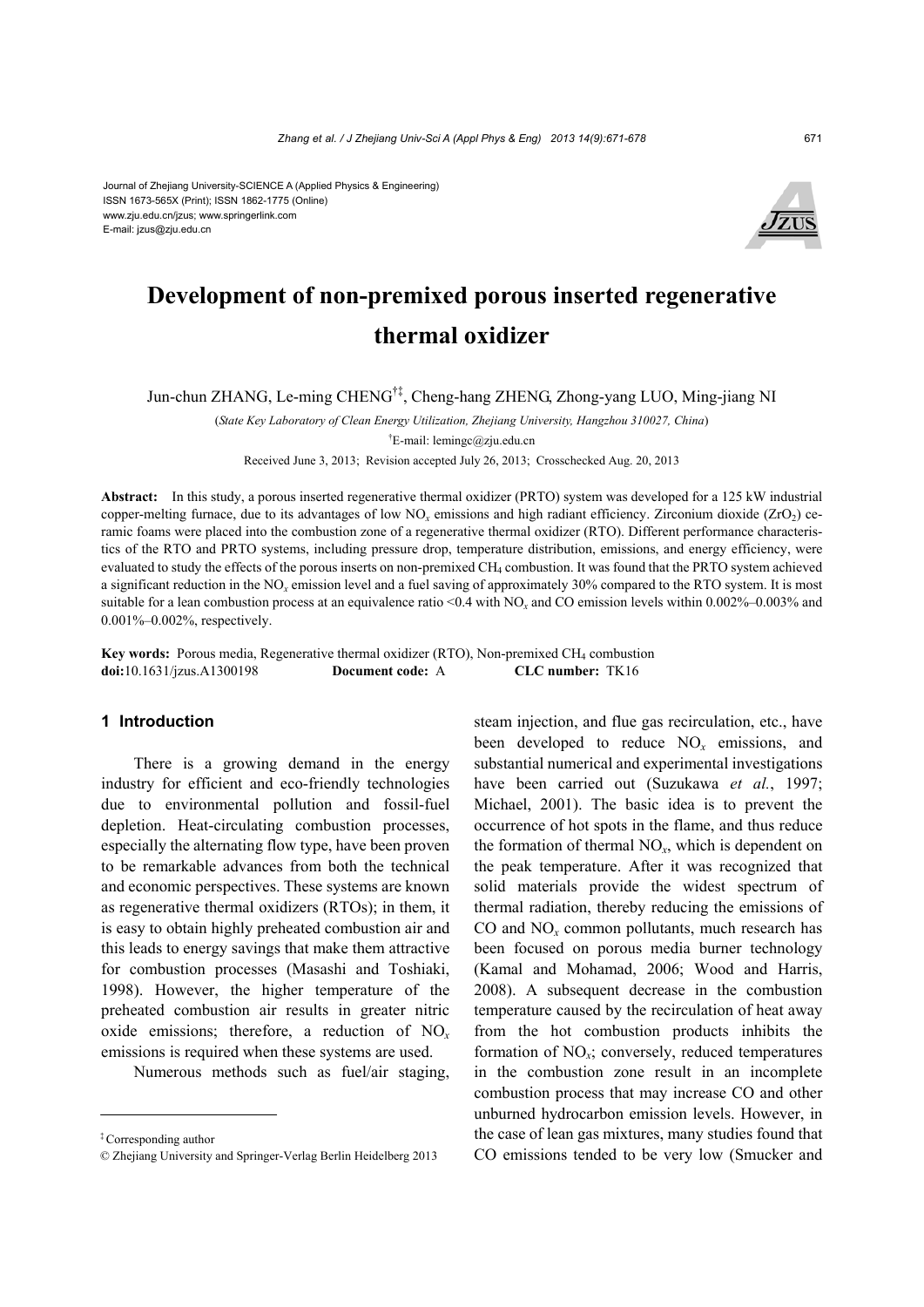#### Journal of Zhejiang University-SCIENCE A (Applied Physics & Engineering) ISSN 1673-565X (Print); ISSN 1862-1775 (Online) www.zju.edu.cn/jzus; www.springerlink.com E-mail: jzus@zju.edu.cn



# **Development of non-premixed porous inserted regenerative thermal oxidizer**

Jun-chun ZHANG, Le-ming CHENG†‡, Cheng-hang ZHENG, Zhong-yang LUO, Ming-jiang NI

(*State Key Laboratory of Clean Energy Utilization, Zhejiang University, Hangzhou 310027, China*) † E-mail: lemingc@zju.edu.cn

Received June 3, 2013; Revision accepted July 26, 2013; Crosschecked Aug. 20, 2013

**Abstract:** In this study, a porous inserted regenerative thermal oxidizer (PRTO) system was developed for a 125 kW industrial copper-melting furnace, due to its advantages of low  $NO<sub>x</sub>$  emissions and high radiant efficiency. Zirconium dioxide (ZrO<sub>2</sub>) ceramic foams were placed into the combustion zone of a regenerative thermal oxidizer (RTO). Different performance characteristics of the RTO and PRTO systems, including pressure drop, temperature distribution, emissions, and energy efficiency, were evaluated to study the effects of the porous inserts on non-premixed CH<sub>4</sub> combustion. It was found that the PRTO system achieved a significant reduction in the NO*x* emission level and a fuel saving of approximately 30% compared to the RTO system. It is most suitable for a lean combustion process at an equivalence ratio  $\leq 0.4$  with NO<sub>x</sub> and CO emission levels within 0.002%–0.003% and 0.001%–0.002%, respectively.

**Key words:** Porous media, Regenerative thermal oxidizer (RTO), Non-premixed CH<sub>4</sub> combustion **doi:**10.1631/jzus.A1300198 **Document code:** A **CLC number:** TK16

# **1 Introduction**

There is a growing demand in the energy industry for efficient and eco-friendly technologies due to environmental pollution and fossil-fuel depletion. Heat-circulating combustion processes, especially the alternating flow type, have been proven to be remarkable advances from both the technical and economic perspectives. These systems are known as regenerative thermal oxidizers (RTOs); in them, it is easy to obtain highly preheated combustion air and this leads to energy savings that make them attractive for combustion processes (Masashi and Toshiaki, 1998). However, the higher temperature of the preheated combustion air results in greater nitric oxide emissions; therefore, a reduction of NO*<sup>x</sup>* emissions is required when these systems are used.

Numerous methods such as fuel/air staging,

steam injection, and flue gas recirculation, etc., have been developed to reduce NO*x* emissions, and substantial numerical and experimental investigations have been carried out (Suzukawa *et al.*, 1997; Michael, 2001). The basic idea is to prevent the occurrence of hot spots in the flame, and thus reduce the formation of thermal  $NO<sub>x</sub>$ , which is dependent on the peak temperature. After it was recognized that solid materials provide the widest spectrum of thermal radiation, thereby reducing the emissions of CO and NO*x* common pollutants, much research has been focused on porous media burner technology (Kamal and Mohamad, 2006; Wood and Harris, 2008). A subsequent decrease in the combustion temperature caused by the recirculation of heat away from the hot combustion products inhibits the formation of NO*x*; conversely, reduced temperatures in the combustion zone result in an incomplete combustion process that may increase CO and other unburned hydrocarbon emission levels. However, in the case of lean gas mixtures, many studies found that CO emissions tended to be very low (Smucker and

<sup>‡</sup> Corresponding author

<sup>©</sup> Zhejiang University and Springer-Verlag Berlin Heidelberg 2013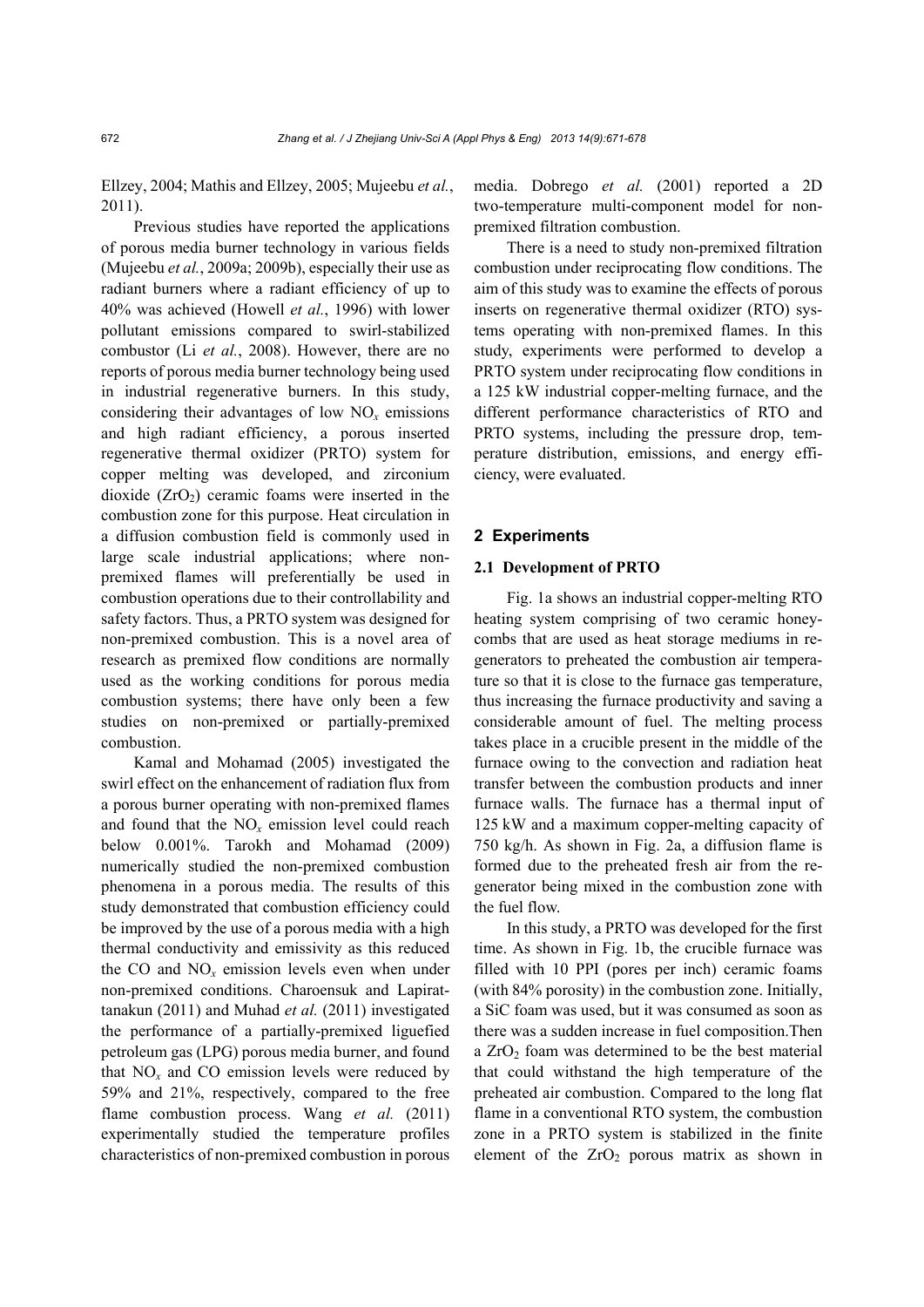Ellzey, 2004; Mathis and Ellzey, 2005; Mujeebu *et al.*, 2011).

Previous studies have reported the applications of porous media burner technology in various fields (Mujeebu *et al.*, 2009a; 2009b), especially their use as radiant burners where a radiant efficiency of up to 40% was achieved (Howell *et al.*, 1996) with lower pollutant emissions compared to swirl-stabilized combustor (Li *et al.*, 2008). However, there are no reports of porous media burner technology being used in industrial regenerative burners. In this study, considering their advantages of low  $NO<sub>x</sub>$  emissions and high radiant efficiency, a porous inserted regenerative thermal oxidizer (PRTO) system for copper melting was developed, and zirconium dioxide  $(ZrO<sub>2</sub>)$  ceramic foams were inserted in the combustion zone for this purpose. Heat circulation in a diffusion combustion field is commonly used in large scale industrial applications; where nonpremixed flames will preferentially be used in combustion operations due to their controllability and safety factors. Thus, a PRTO system was designed for non-premixed combustion. This is a novel area of research as premixed flow conditions are normally used as the working conditions for porous media combustion systems; there have only been a few studies on non-premixed or partially-premixed combustion.

Kamal and Mohamad (2005) investigated the swirl effect on the enhancement of radiation flux from a porous burner operating with non-premixed flames and found that the NO*x* emission level could reach below 0.001%. Tarokh and Mohamad (2009) numerically studied the non-premixed combustion phenomena in a porous media. The results of this study demonstrated that combustion efficiency could be improved by the use of a porous media with a high thermal conductivity and emissivity as this reduced the CO and NO*x* emission levels even when under non-premixed conditions. Charoensuk and Lapirattanakun (2011) and Muhad *et al.* (2011) investigated the performance of a partially-premixed liguefied petroleum gas (LPG) porous media burner, and found that  $NO<sub>x</sub>$  and  $CO$  emission levels were reduced by 59% and 21%, respectively, compared to the free flame combustion process. Wang *et al.* (2011) experimentally studied the temperature profiles characteristics of non-premixed combustion in porous media. Dobrego *et al.* (2001) reported a 2D two-temperature multi-component model for nonpremixed filtration combustion.

There is a need to study non-premixed filtration combustion under reciprocating flow conditions. The aim of this study was to examine the effects of porous inserts on regenerative thermal oxidizer (RTO) systems operating with non-premixed flames. In this study, experiments were performed to develop a PRTO system under reciprocating flow conditions in a 125 kW industrial copper-melting furnace, and the different performance characteristics of RTO and PRTO systems, including the pressure drop, temperature distribution, emissions, and energy efficiency, were evaluated.

# **2 Experiments**

# **2.1 Development of PRTO**

Fig. 1a shows an industrial copper-melting RTO heating system comprising of two ceramic honeycombs that are used as heat storage mediums in regenerators to preheated the combustion air temperature so that it is close to the furnace gas temperature, thus increasing the furnace productivity and saving a considerable amount of fuel. The melting process takes place in a crucible present in the middle of the furnace owing to the convection and radiation heat transfer between the combustion products and inner furnace walls. The furnace has a thermal input of 125 kW and a maximum copper-melting capacity of 750 kg/h. As shown in Fig. 2a, a diffusion flame is formed due to the preheated fresh air from the regenerator being mixed in the combustion zone with the fuel flow.

In this study, a PRTO was developed for the first time. As shown in Fig. 1b, the crucible furnace was filled with 10 PPI (pores per inch) ceramic foams (with 84% porosity) in the combustion zone. Initially, a SiC foam was used, but it was consumed as soon as there was a sudden increase in fuel composition.Then a  $ZrO<sub>2</sub>$  foam was determined to be the best material that could withstand the high temperature of the preheated air combustion. Compared to the long flat flame in a conventional RTO system, the combustion zone in a PRTO system is stabilized in the finite element of the  $ZrO<sub>2</sub>$  porous matrix as shown in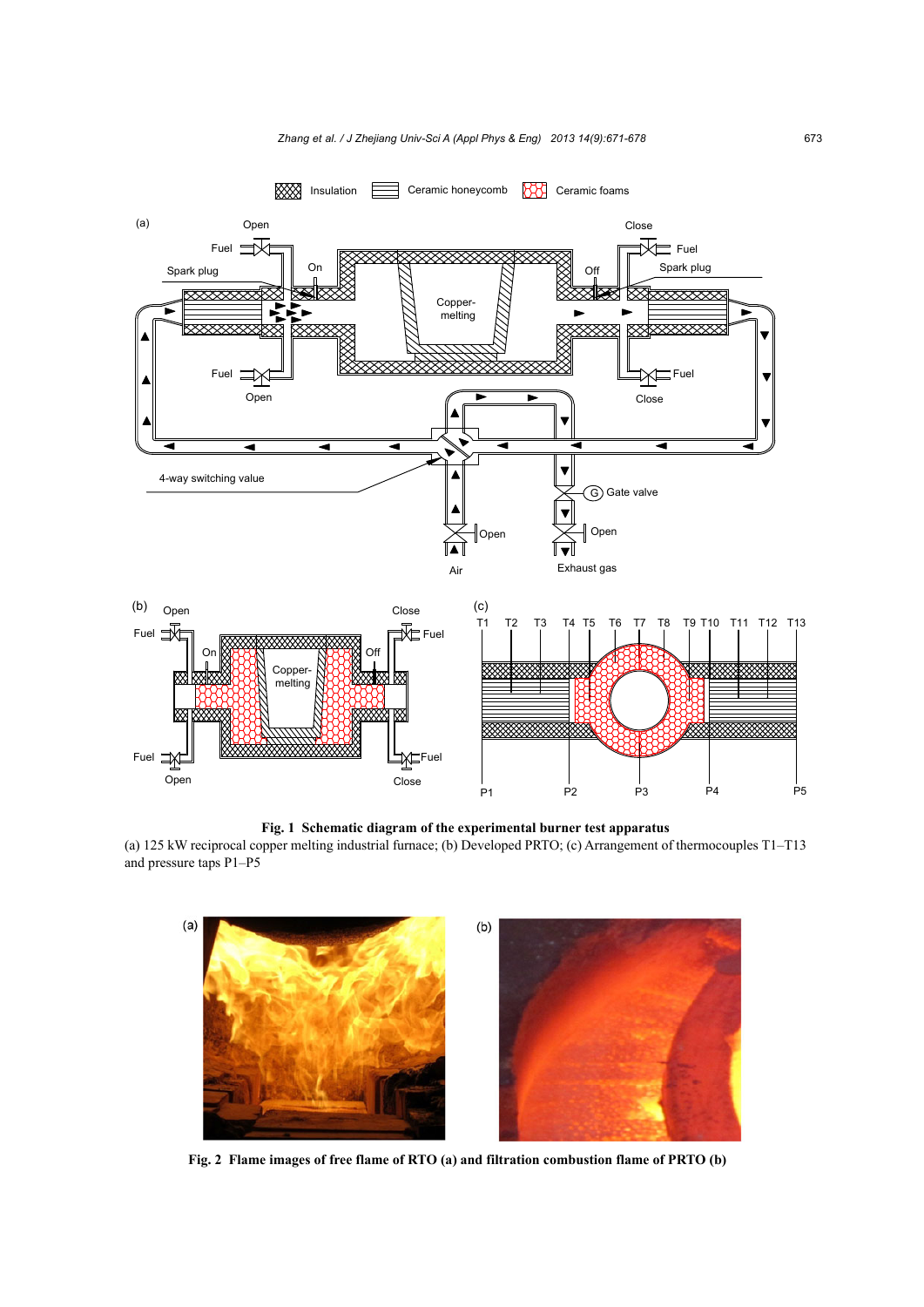

**Fig. 1 Schematic diagram of the experimental burner test apparatus** 

(a) 125 kW reciprocal copper melting industrial furnace; (b) Developed PRTO; (c) Arrangement of thermocouples T1–T13 and pressure taps P1–P5



**Fig. 2 Flame images of free flame of RTO (a) and filtration combustion flame of PRTO (b)**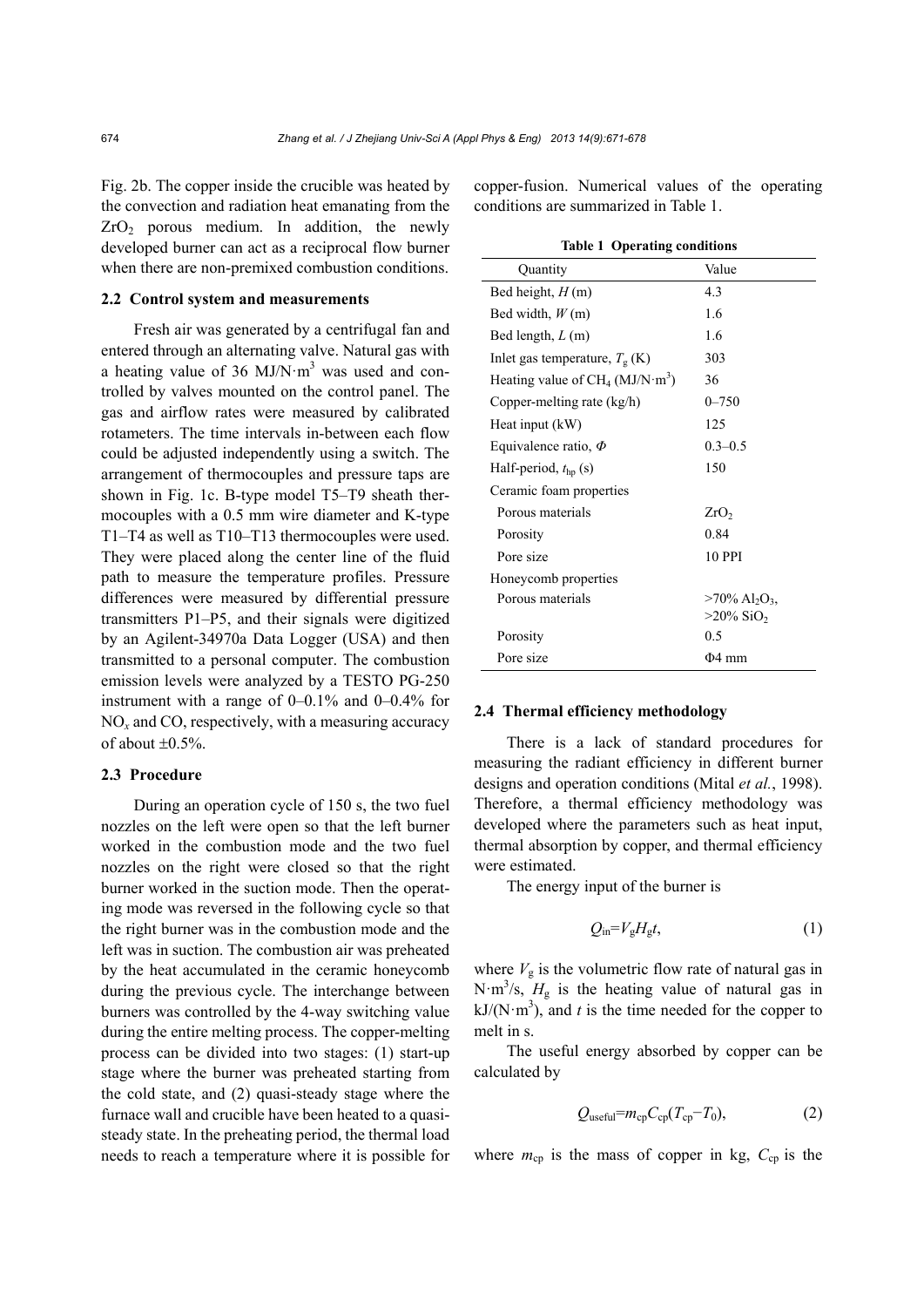Fig. 2b. The copper inside the crucible was heated by the convection and radiation heat emanating from the  $ZrO<sub>2</sub>$  porous medium. In addition, the newly developed burner can act as a reciprocal flow burner when there are non-premixed combustion conditions.

#### **2.2 Control system and measurements**

Fresh air was generated by a centrifugal fan and entered through an alternating valve. Natural gas with a heating value of 36 MJ/N $\cdot$ m<sup>3</sup> was used and controlled by valves mounted on the control panel. The gas and airflow rates were measured by calibrated rotameters. The time intervals in-between each flow could be adjusted independently using a switch. The arrangement of thermocouples and pressure taps are shown in Fig. 1c. B-type model T5–T9 sheath thermocouples with a 0.5 mm wire diameter and K-type T1–T4 as well as T10–T13 thermocouples were used. They were placed along the center line of the fluid path to measure the temperature profiles. Pressure differences were measured by differential pressure transmitters P1–P5, and their signals were digitized by an Agilent-34970a Data Logger (USA) and then transmitted to a personal computer. The combustion emission levels were analyzed by a TESTO PG-250 instrument with a range of 0–0.1% and 0–0.4% for NO*x* and CO, respectively, with a measuring accuracy of about  $\pm 0.5\%$ .

# **2.3 Procedure**

During an operation cycle of 150 s, the two fuel nozzles on the left were open so that the left burner worked in the combustion mode and the two fuel nozzles on the right were closed so that the right burner worked in the suction mode. Then the operating mode was reversed in the following cycle so that the right burner was in the combustion mode and the left was in suction. The combustion air was preheated by the heat accumulated in the ceramic honeycomb during the previous cycle. The interchange between burners was controlled by the 4-way switching value during the entire melting process. The copper-melting process can be divided into two stages: (1) start-up stage where the burner was preheated starting from the cold state, and (2) quasi-steady stage where the furnace wall and crucible have been heated to a quasisteady state. In the preheating period, the thermal load needs to reach a temperature where it is possible for copper-fusion. Numerical values of the operating conditions are summarized in Table 1.

| <b>Table 1 Operating conditions</b>      |                                          |
|------------------------------------------|------------------------------------------|
| Quantity                                 | Value                                    |
| Bed height, $H(m)$                       | 4.3                                      |
| Bed width, $W(m)$                        | 1.6                                      |
| Bed length, $L(m)$                       | 1.6                                      |
| Inlet gas temperature, $T_{\rm g}$ (K)   | 303                                      |
| Heating value of $CH_4 (MJ/N \cdot m^3)$ | 36                                       |
| Copper-melting rate (kg/h)               | $0 - 750$                                |
| Heat input (kW)                          | 125                                      |
| Equivalence ratio, $\Phi$                | $0.3 - 0.5$                              |
| Half-period, $t_{hp}$ (s)                | 150                                      |
| Ceramic foam properties                  |                                          |
| Porous materials                         | ZrO <sub>2</sub>                         |
| Porosity                                 | 0.84                                     |
| Pore size                                | <b>10 PPI</b>                            |
| Honeycomb properties                     |                                          |
| Porous materials                         | $>70\%$ Al <sub>2</sub> O <sub>3</sub> . |
|                                          | $>20\%$ SiO <sub>2</sub>                 |
| Porosity                                 | 0.5                                      |
| Pore size                                | $\Phi$ 4 mm                              |

#### **2.4 Thermal efficiency methodology**

There is a lack of standard procedures for measuring the radiant efficiency in different burner designs and operation conditions (Mital *et al.*, 1998). Therefore, a thermal efficiency methodology was developed where the parameters such as heat input, thermal absorption by copper, and thermal efficiency were estimated.

The energy input of the burner is

$$
Q_{\rm in} = V_{\rm g} H_{\rm g} t,\tag{1}
$$

where  $V_g$  is the volumetric flow rate of natural gas in N·m<sup>3</sup>/s,  $H<sub>g</sub>$  is the heating value of natural gas in  $kJ/(N \cdot m^3)$ , and *t* is the time needed for the copper to melt in s.

The useful energy absorbed by copper can be calculated by

$$
Q_{\text{useful}} = m_{\text{cp}} C_{\text{cp}} (T_{\text{cp}} - T_0), \tag{2}
$$

where  $m_{cp}$  is the mass of copper in kg,  $C_{cp}$  is the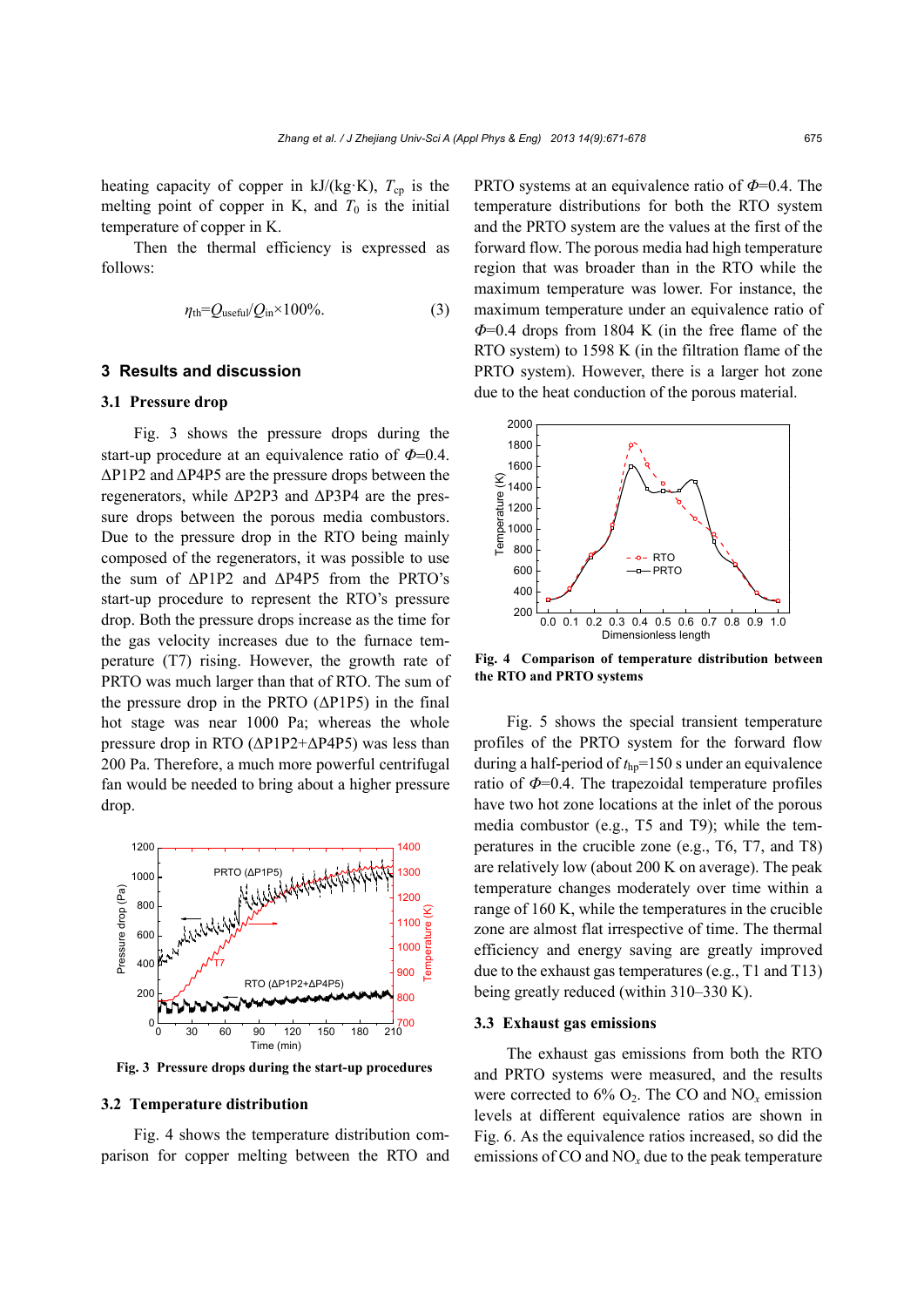heating capacity of copper in  $kJ/(kg·K)$ ,  $T_{cp}$  is the melting point of copper in K, and  $T_0$  is the initial temperature of copper in K.

Then the thermal efficiency is expressed as follows:

$$
\eta_{\text{th}} = Q_{\text{useful}} / Q_{\text{in}} \times 100\% \tag{3}
$$

# **3 Results and discussion**

# **3.1 Pressure drop**

Fig. 3 shows the pressure drops during the start-up procedure at an equivalence ratio of  $\Phi$ =0.4. ΔP1P2 and ΔP4P5 are the pressure drops between the regenerators, while ΔP2P3 and ΔP3P4 are the pressure drops between the porous media combustors. Due to the pressure drop in the RTO being mainly composed of the regenerators, it was possible to use the sum of ΔP1P2 and ΔP4P5 from the PRTO's start-up procedure to represent the RTO's pressure drop. Both the pressure drops increase as the time for the gas velocity increases due to the furnace temperature (T7) rising. However, the growth rate of PRTO was much larger than that of RTO. The sum of the pressure drop in the PRTO (ΔP1P5) in the final hot stage was near 1000 Pa; whereas the whole pressure drop in RTO ( $\Delta$ P1P2+ $\Delta$ P4P5) was less than 200 Pa. Therefore, a much more powerful centrifugal fan would be needed to bring about a higher pressure drop.



**Fig. 3 Pressure drops during the start-up procedures**

#### **3.2 Temperature distribution**

Fig. 4 shows the temperature distribution comparison for copper melting between the RTO and PRTO systems at an equivalence ratio of *Φ*=0.4. The temperature distributions for both the RTO system and the PRTO system are the values at the first of the forward flow. The porous media had high temperature region that was broader than in the RTO while the maximum temperature was lower. For instance, the maximum temperature under an equivalence ratio of *Φ*=0.4 drops from 1804 K (in the free flame of the RTO system) to 1598 K (in the filtration flame of the PRTO system). However, there is a larger hot zone due to the heat conduction of the porous material.



**Fig. 4 Comparison of temperature distribution between the RTO and PRTO systems** 

Fig. 5 shows the special transient temperature profiles of the PRTO system for the forward flow during a half-period of  $t_{\text{ho}}$ =150 s under an equivalence ratio of *Φ*=0.4. The trapezoidal temperature profiles have two hot zone locations at the inlet of the porous media combustor (e.g., T5 and T9); while the temperatures in the crucible zone (e.g., T6, T7, and T8) are relatively low (about 200 K on average). The peak temperature changes moderately over time within a range of 160 K, while the temperatures in the crucible zone are almost flat irrespective of time. The thermal efficiency and energy saving are greatly improved due to the exhaust gas temperatures (e.g., T1 and T13) being greatly reduced (within 310–330 K).

#### **3.3 Exhaust gas emissions**

The exhaust gas emissions from both the RTO and PRTO systems were measured, and the results were corrected to  $6\%$  O<sub>2</sub>. The CO and NO<sub>x</sub> emission levels at different equivalence ratios are shown in Fig. 6. As the equivalence ratios increased, so did the emissions of CO and  $NO<sub>x</sub>$  due to the peak temperature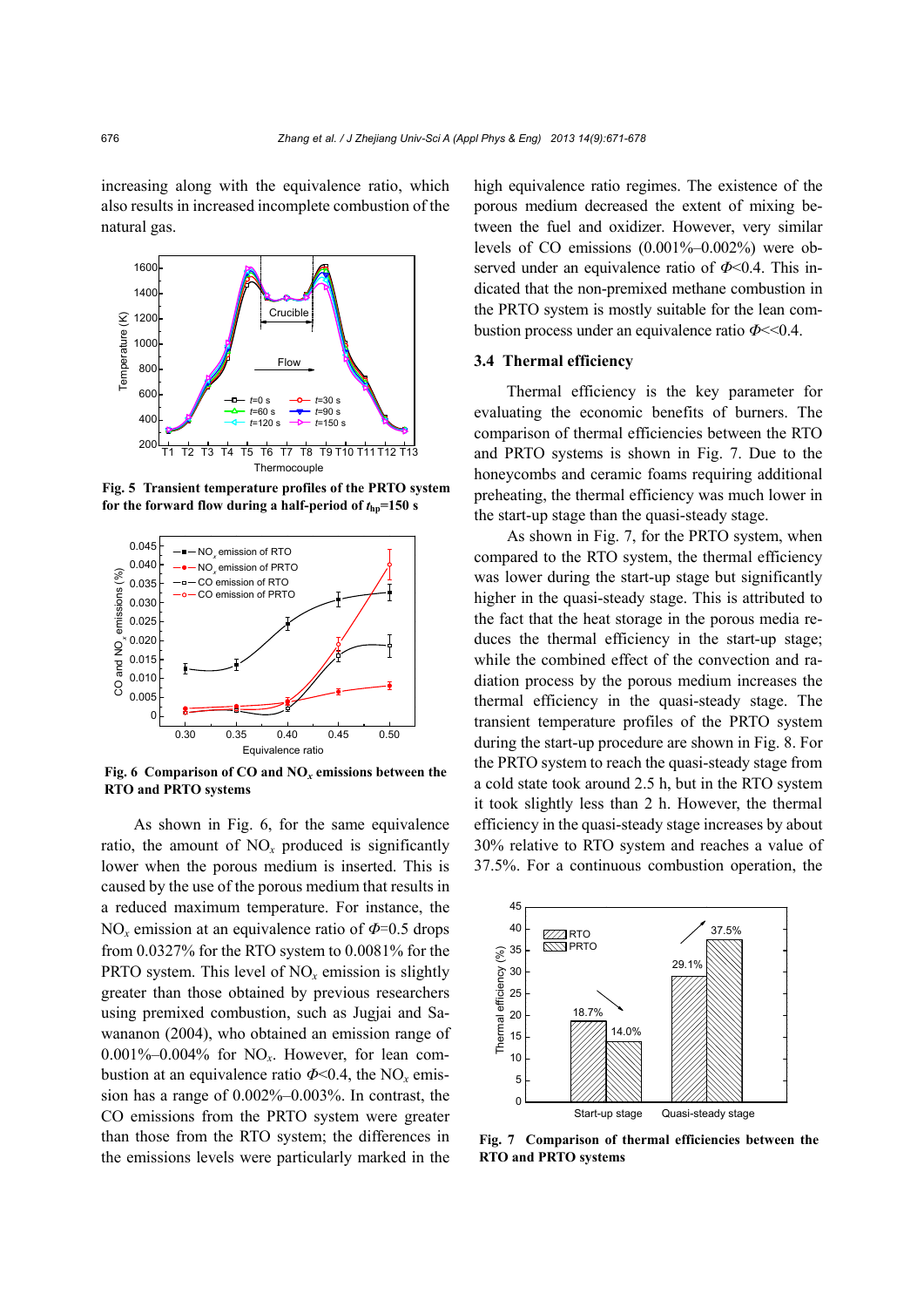increasing along with the equivalence ratio, which also results in increased incomplete combustion of the natural gas.



**Fig. 5 Transient temperature profiles of the PRTO system**  for the forward flow during a half-period of  $t_{\text{ho}}$ =150 s



**Fig. 6 Comparison of CO and NO***x* **emissions between the RTO and PRTO systems** 

As shown in Fig. 6, for the same equivalence ratio, the amount of  $NO<sub>x</sub>$  produced is significantly lower when the porous medium is inserted. This is caused by the use of the porous medium that results in a reduced maximum temperature. For instance, the NO*x* emission at an equivalence ratio of *Φ*=0.5 drops from 0.0327% for the RTO system to 0.0081% for the **PRTO** system. This level of  $NO<sub>x</sub>$  emission is slightly greater than those obtained by previous researchers using premixed combustion, such as Jugjai and Sawananon (2004), who obtained an emission range of 0.001%–0.004% for NO*x*. However, for lean combustion at an equivalence ratio  $\Phi$ <0.4, the NO<sub>x</sub> emission has a range of 0.002%–0.003%. In contrast, the CO emissions from the PRTO system were greater than those from the RTO system; the differences in the emissions levels were particularly marked in the high equivalence ratio regimes. The existence of the porous medium decreased the extent of mixing between the fuel and oxidizer. However, very similar levels of CO emissions (0.001%–0.002%) were observed under an equivalence ratio of *Φ*<0.4. This indicated that the non-premixed methane combustion in the PRTO system is mostly suitable for the lean combustion process under an equivalence ratio *Φ*<<0.4.

#### **3.4 Thermal efficiency**

Thermal efficiency is the key parameter for evaluating the economic benefits of burners. The comparison of thermal efficiencies between the RTO and PRTO systems is shown in Fig. 7. Due to the honeycombs and ceramic foams requiring additional preheating, the thermal efficiency was much lower in the start-up stage than the quasi-steady stage.

As shown in Fig. 7, for the PRTO system, when compared to the RTO system, the thermal efficiency was lower during the start-up stage but significantly higher in the quasi-steady stage. This is attributed to the fact that the heat storage in the porous media reduces the thermal efficiency in the start-up stage; while the combined effect of the convection and radiation process by the porous medium increases the thermal efficiency in the quasi-steady stage. The transient temperature profiles of the PRTO system during the start-up procedure are shown in Fig. 8. For the PRTO system to reach the quasi-steady stage from a cold state took around 2.5 h, but in the RTO system it took slightly less than 2 h. However, the thermal efficiency in the quasi-steady stage increases by about 30% relative to RTO system and reaches a value of 37.5%. For a continuous combustion operation, the



**Fig. 7 Comparison of thermal efficiencies between the RTO and PRTO systems**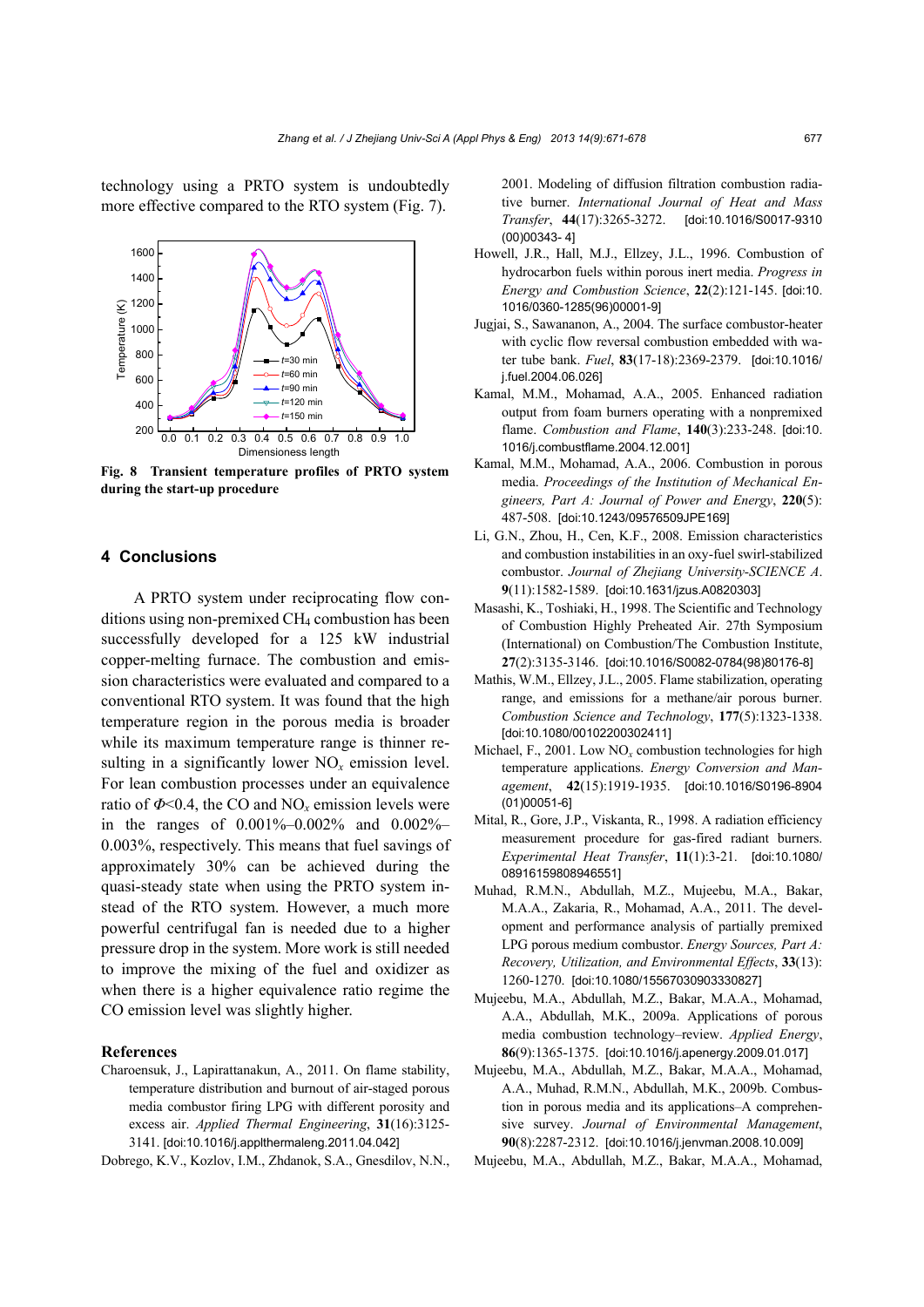technology using a PRTO system is undoubtedly more effective compared to the RTO system (Fig. 7).



**Fig. 8 Transient temperature profiles of PRTO system during the start-up procedure** 

# **4 Conclusions**

A PRTO system under reciprocating flow conditions using non-premixed CH4 combustion has been successfully developed for a 125 kW industrial copper-melting furnace. The combustion and emission characteristics were evaluated and compared to a conventional RTO system. It was found that the high temperature region in the porous media is broader while its maximum temperature range is thinner resulting in a significantly lower NO*x* emission level. For lean combustion processes under an equivalence ratio of  $\Phi$ <0.4, the CO and NO<sub>x</sub> emission levels were in the ranges of 0.001%–0.002% and 0.002%– 0.003%, respectively. This means that fuel savings of approximately 30% can be achieved during the quasi-steady state when using the PRTO system instead of the RTO system. However, a much more powerful centrifugal fan is needed due to a higher pressure drop in the system. More work is still needed to improve the mixing of the fuel and oxidizer as when there is a higher equivalence ratio regime the CO emission level was slightly higher.

#### **References**

Charoensuk, J., Lapirattanakun, A., 2011. On flame stability, temperature distribution and burnout of air-staged porous media combustor firing LPG with different porosity and excess air. *Applied Thermal Engineering*, **31**(16):3125- 3141. [doi:10.1016/j.applthermaleng.2011.04.042]

Dobrego, K.V., Kozlov, I.M., Zhdanok, S.A., Gnesdilov, N.N.,

2001. Modeling of diffusion filtration combustion radiative burner. *International Journal of Heat and Mass Transfer*, **44**(17):3265-3272. [doi:10.1016/S0017-9310 (00)00343- 4]

- Howell, J.R., Hall, M.J., Ellzey, J.L., 1996. Combustion of hydrocarbon fuels within porous inert media. *Progress in Energy and Combustion Science*, **22**(2):121-145. [doi:10. 1016/0360-1285(96)00001-9]
- Jugjai, S., Sawananon, A., 2004. The surface combustor-heater with cyclic flow reversal combustion embedded with water tube bank. *Fuel*, **83**(17-18):2369-2379. [doi:10.1016/ j.fuel.2004.06.026]
- Kamal, M.M., Mohamad, A.A., 2005. Enhanced radiation output from foam burners operating with a nonpremixed flame. *Combustion and Flame*, **140**(3):233-248. [doi:10. 1016/j.combustflame.2004.12.001]
- Kamal, M.M., Mohamad, A.A., 2006. Combustion in porous media. *Proceedings of the Institution of Mechanical Engineers, Part A: Journal of Power and Energy*, **220**(5): 487-508. [doi:10.1243/09576509JPE169]
- Li, G.N., Zhou, H., Cen, K.F., 2008. Emission characteristics and combustion instabilities in an oxy-fuel swirl-stabilized combustor. *Journal of Zhejiang University-SCIENCE A*. **9**(11):1582-1589. [doi:10.1631/jzus.A0820303]
- Masashi, K., Toshiaki, H., 1998. The Scientific and Technology of Combustion Highly Preheated Air. 27th Symposium (International) on Combustion/The Combustion Institute, **27**(2):3135-3146. [doi:10.1016/S0082-0784(98)80176-8]
- Mathis, W.M., Ellzey, J.L., 2005. Flame stabilization, operating range, and emissions for a methane/air porous burner. *Combustion Science and Technology*, **177**(5):1323-1338. [doi:10.1080/00102200302411]
- Michael, F., 2001. Low NO*x* combustion technologies for high temperature applications. *Energy Conversion and Management*, **42**(15):1919-1935. [doi:10.1016/S0196-8904 (01)00051-6]
- Mital, R., Gore, J.P., Viskanta, R., 1998. A radiation efficiency measurement procedure for gas-fired radiant burners. *Experimental Heat Transfer*, **11**(1):3-21. [doi:10.1080/ 08916159808946551]
- Muhad, R.M.N., Abdullah, M.Z., Mujeebu, M.A., Bakar, M.A.A., Zakaria, R., Mohamad, A.A., 2011. The development and performance analysis of partially premixed LPG porous medium combustor. *Energy Sources, Part A: Recovery, Utilization, and Environmental Effects*, **33**(13): 1260-1270. [doi:10.1080/15567030903330827]
- Mujeebu, M.A., Abdullah, M.Z., Bakar, M.A.A., Mohamad, A.A., Abdullah, M.K., 2009a. Applications of porous media combustion technology–review. *Applied Energy*, **86**(9):1365-1375. [doi:10.1016/j.apenergy.2009.01.017]
- Mujeebu, M.A., Abdullah, M.Z., Bakar, M.A.A., Mohamad, A.A., Muhad, R.M.N., Abdullah, M.K., 2009b. Combustion in porous media and its applications–A comprehensive survey. *Journal of Environmental Management*, **90**(8):2287-2312. [doi:10.1016/j.jenvman.2008.10.009]
- Mujeebu, M.A., Abdullah, M.Z., Bakar, M.A.A., Mohamad,